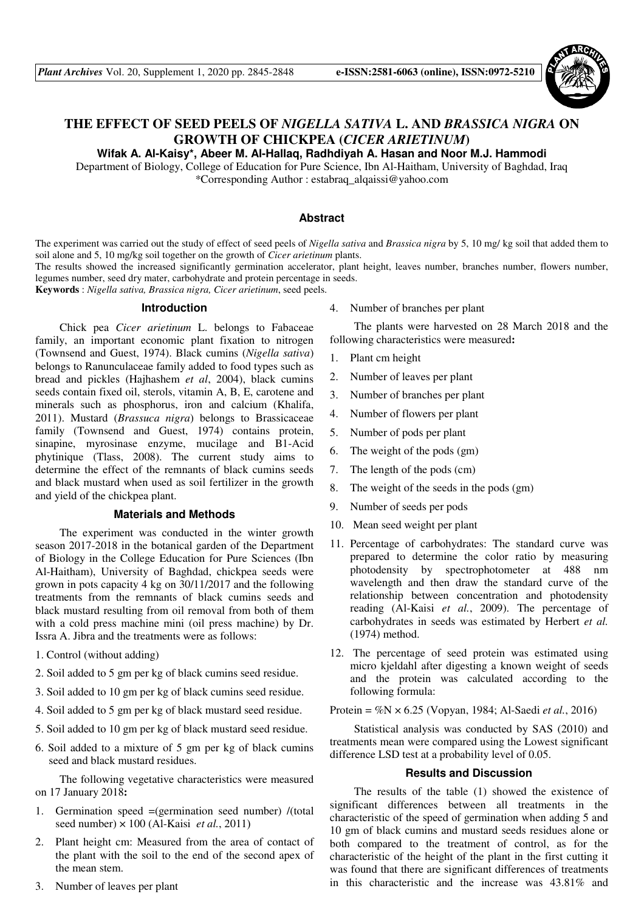

# **THE EFFECT OF SEED PEELS OF** *NIGELLA SATIVA* **L. AND** *BRASSICA NIGRA* **ON GROWTH OF CHICKPEA (***CICER ARIETINUM***)**

**Wifak A. Al-Kaisy\*, Abeer M. Al-Hallaq, Radhdiyah A. Hasan and Noor M.J. Hammodi** 

Department of Biology, College of Education for Pure Science, Ibn Al-Haitham, University of Baghdad, Iraq \*Corresponding Author : estabraq\_alqaissi@yahoo.com

## **Abstract**

The experiment was carried out the study of effect of seed peels of *Nigella sativa* and *Brassica nigra* by 5, 10 mg/ kg soil that added them to soil alone and 5, 10 mg/kg soil together on the growth of *Cicer arietinum* plants.

The results showed the increased significantly germination accelerator, plant height, leaves number, branches number, flowers number, legumes number, seed dry mater, carbohydrate and protein percentage in seeds.

**Keywords** : *Nigella sativa, Brassica nigra, Cicer arietinum*, seed peels.

### **Introduction**

Chick pea *Cicer arietinum* L. belongs to Fabaceae family, an important economic plant fixation to nitrogen (Townsend and Guest, 1974). Black cumins (*Nigella sativa*) belongs to Ranunculaceae family added to food types such as bread and pickles (Hajhashem *et al*, 2004), black cumins seeds contain fixed oil, sterols, vitamin A, B, E, carotene and minerals such as phosphorus, iron and calcium (Khalifa, 2011). Mustard (*Brassuca nigra*) belongs to Brassicaceae family (Townsend and Guest, 1974) contains protein, sinapine, myrosinase enzyme, mucilage and B1-Acid phytinique (Tlass, 2008). The current study aims to determine the effect of the remnants of black cumins seeds and black mustard when used as soil fertilizer in the growth and yield of the chickpea plant.

# **Materials and Methods**

The experiment was conducted in the winter growth season 2017-2018 in the botanical garden of the Department of Biology in the College Education for Pure Sciences (Ibn Al-Haitham), University of Baghdad, chickpea seeds were grown in pots capacity 4 kg on 30/11/2017 and the following treatments from the remnants of black cumins seeds and black mustard resulting from oil removal from both of them with a cold press machine mini (oil press machine) by Dr. Issra A. Jibra and the treatments were as follows:

- 1. Control (without adding)
- 2. Soil added to 5 gm per kg of black cumins seed residue.
- 3. Soil added to 10 gm per kg of black cumins seed residue.
- 4. Soil added to 5 gm per kg of black mustard seed residue.
- 5. Soil added to 10 gm per kg of black mustard seed residue.
- 6. Soil added to a mixture of 5 gm per kg of black cumins seed and black mustard residues.

The following vegetative characteristics were measured on 17 January 2018:

- 1. Germination speed =(germination seed number) /(total seed number) × 100 (Al-Kaisi *et al.*, 2011)
- 2. Plant height cm: Measured from the area of contact of the plant with the soil to the end of the second apex of the mean stem.
- 3. Number of leaves per plant

4. Number of branches per plant

The plants were harvested on 28 March 2018 and the following characteristics were measured:

- 1. Plant cm height
- 2. Number of leaves per plant
- 3. Number of branches per plant
- 4. Number of flowers per plant
- 5. Number of pods per plant
- 6. The weight of the pods (gm)
- 7. The length of the pods (cm)
- 8. The weight of the seeds in the pods (gm)
- 9. Number of seeds per pods
- 10. Mean seed weight per plant
- 11. Percentage of carbohydrates: The standard curve was prepared to determine the color ratio by measuring photodensity by spectrophotometer at 488 nm wavelength and then draw the standard curve of the relationship between concentration and photodensity reading (Al-Kaisi *et al.*, 2009). The percentage of carbohydrates in seeds was estimated by Herbert *et al.*  (1974) method.
- 12. The percentage of seed protein was estimated using micro kjeldahl after digesting a known weight of seeds and the protein was calculated according to the following formula:

Protein = %N × 6.25 (Vopyan, 1984; Al-Saedi *et al.*, 2016)

Statistical analysis was conducted by SAS (2010) and treatments mean were compared using the Lowest significant difference LSD test at a probability level of 0.05.

### **Results and Discussion**

The results of the table (1) showed the existence of significant differences between all treatments in the characteristic of the speed of germination when adding 5 and 10 gm of black cumins and mustard seeds residues alone or both compared to the treatment of control, as for the characteristic of the height of the plant in the first cutting it was found that there are significant differences of treatments in this characteristic and the increase was 43.81% and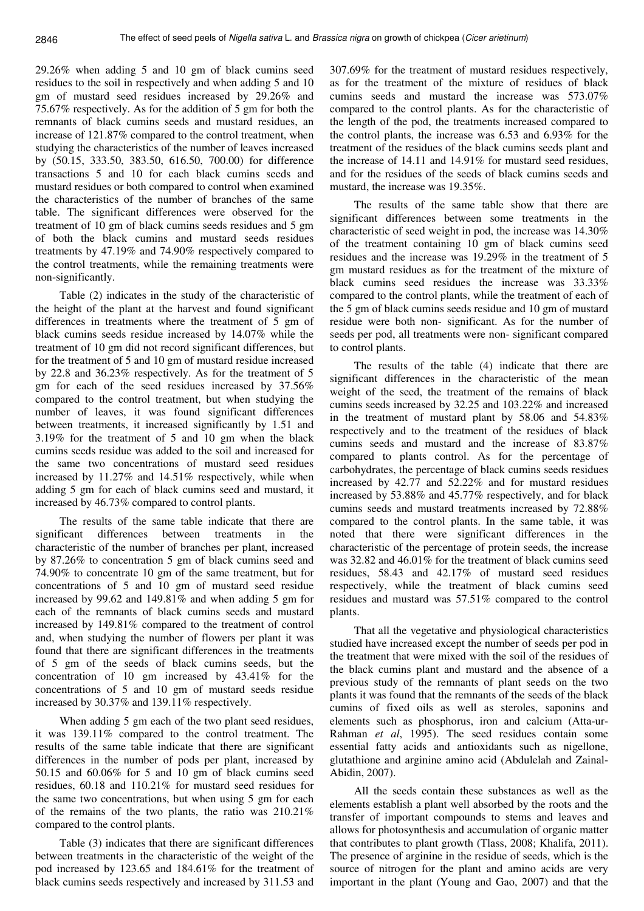29.26% when adding 5 and 10 gm of black cumins seed residues to the soil in respectively and when adding 5 and 10 gm of mustard seed residues increased by 29.26% and 75.67% respectively. As for the addition of 5 gm for both the remnants of black cumins seeds and mustard residues, an increase of 121.87% compared to the control treatment, when studying the characteristics of the number of leaves increased by (50.15, 333.50, 383.50, 616.50, 700.00) for difference transactions 5 and 10 for each black cumins seeds and mustard residues or both compared to control when examined the characteristics of the number of branches of the same table. The significant differences were observed for the treatment of 10 gm of black cumins seeds residues and 5 gm of both the black cumins and mustard seeds residues treatments by 47.19% and 74.90% respectively compared to the control treatments, while the remaining treatments were non-significantly.

Table (2) indicates in the study of the characteristic of the height of the plant at the harvest and found significant differences in treatments where the treatment of 5 gm of black cumins seeds residue increased by 14.07% while the treatment of 10 gm did not record significant differences, but for the treatment of 5 and 10 gm of mustard residue increased by 22.8 and 36.23% respectively. As for the treatment of 5 gm for each of the seed residues increased by 37.56% compared to the control treatment, but when studying the number of leaves, it was found significant differences between treatments, it increased significantly by 1.51 and 3.19% for the treatment of 5 and 10 gm when the black cumins seeds residue was added to the soil and increased for the same two concentrations of mustard seed residues increased by 11.27% and 14.51% respectively, while when adding 5 gm for each of black cumins seed and mustard, it increased by 46.73% compared to control plants.

The results of the same table indicate that there are significant differences between treatments in the characteristic of the number of branches per plant, increased by 87.26% to concentration 5 gm of black cumins seed and 74.90% to concentrate 10 gm of the same treatment, but for concentrations of 5 and 10 gm of mustard seed residue increased by 99.62 and 149.81% and when adding 5 gm for each of the remnants of black cumins seeds and mustard increased by 149.81% compared to the treatment of control and, when studying the number of flowers per plant it was found that there are significant differences in the treatments of 5 gm of the seeds of black cumins seeds, but the concentration of 10 gm increased by 43.41% for the concentrations of 5 and 10 gm of mustard seeds residue increased by 30.37% and 139.11% respectively.

When adding 5 gm each of the two plant seed residues, it was 139.11% compared to the control treatment. The results of the same table indicate that there are significant differences in the number of pods per plant, increased by 50.15 and 60.06% for 5 and 10 gm of black cumins seed residues, 60.18 and 110.21% for mustard seed residues for the same two concentrations, but when using 5 gm for each of the remains of the two plants, the ratio was 210.21% compared to the control plants.

Table (3) indicates that there are significant differences between treatments in the characteristic of the weight of the pod increased by 123.65 and 184.61% for the treatment of black cumins seeds respectively and increased by 311.53 and

307.69% for the treatment of mustard residues respectively, as for the treatment of the mixture of residues of black cumins seeds and mustard the increase was 573.07% compared to the control plants. As for the characteristic of the length of the pod, the treatments increased compared to the control plants, the increase was 6.53 and 6.93% for the treatment of the residues of the black cumins seeds plant and the increase of 14.11 and 14.91% for mustard seed residues, and for the residues of the seeds of black cumins seeds and mustard, the increase was 19.35%.

The results of the same table show that there are significant differences between some treatments in the characteristic of seed weight in pod, the increase was 14.30% of the treatment containing 10 gm of black cumins seed residues and the increase was 19.29% in the treatment of 5 gm mustard residues as for the treatment of the mixture of black cumins seed residues the increase was 33.33% compared to the control plants, while the treatment of each of the 5 gm of black cumins seeds residue and 10 gm of mustard residue were both non- significant. As for the number of seeds per pod, all treatments were non- significant compared to control plants.

The results of the table (4) indicate that there are significant differences in the characteristic of the mean weight of the seed, the treatment of the remains of black cumins seeds increased by 32.25 and 103.22% and increased in the treatment of mustard plant by 58.06 and 54.83% respectively and to the treatment of the residues of black cumins seeds and mustard and the increase of 83.87% compared to plants control. As for the percentage of carbohydrates, the percentage of black cumins seeds residues increased by 42.77 and 52.22% and for mustard residues increased by 53.88% and 45.77% respectively, and for black cumins seeds and mustard treatments increased by 72.88% compared to the control plants. In the same table, it was noted that there were significant differences in the characteristic of the percentage of protein seeds, the increase was 32.82 and 46.01% for the treatment of black cumins seed residues, 58.43 and 42.17% of mustard seed residues respectively, while the treatment of black cumins seed residues and mustard was 57.51% compared to the control plants.

That all the vegetative and physiological characteristics studied have increased except the number of seeds per pod in the treatment that were mixed with the soil of the residues of the black cumins plant and mustard and the absence of a previous study of the remnants of plant seeds on the two plants it was found that the remnants of the seeds of the black cumins of fixed oils as well as steroles, saponins and elements such as phosphorus, iron and calcium (Atta-ur-Rahman *et al*, 1995). The seed residues contain some essential fatty acids and antioxidants such as nigellone, glutathione and arginine amino acid (Abdulelah and Zainal-Abidin, 2007).

All the seeds contain these substances as well as the elements establish a plant well absorbed by the roots and the transfer of important compounds to stems and leaves and allows for photosynthesis and accumulation of organic matter that contributes to plant growth (Tlass, 2008; Khalifa, 2011). The presence of arginine in the residue of seeds, which is the source of nitrogen for the plant and amino acids are very important in the plant (Young and Gao, 2007) and that the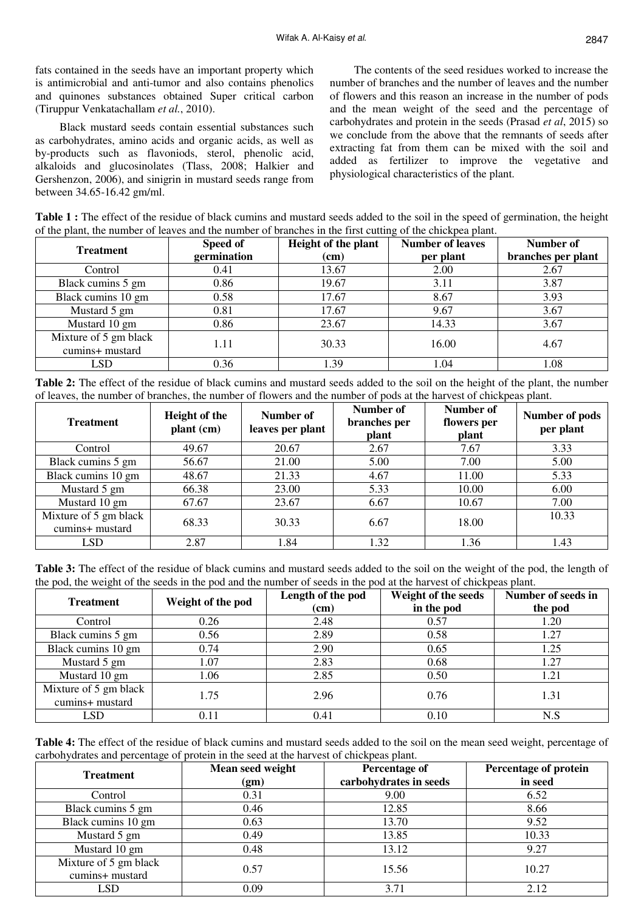fats contained in the seeds have an important property which is antimicrobial and anti-tumor and also contains phenolics and quinones substances obtained Super critical carbon (Tiruppur Venkatachallam *et al.*, 2010).

Black mustard seeds contain essential substances such as carbohydrates, amino acids and organic acids, as well as by-products such as flavoniods, sterol, phenolic acid, alkaloids and glucosinolates (Tlass, 2008; Halkier and Gershenzon, 2006), and sinigrin in mustard seeds range from between 34.65-16.42 gm/ml.

The contents of the seed residues worked to increase the number of branches and the number of leaves and the number of flowers and this reason an increase in the number of pods and the mean weight of the seed and the percentage of carbohydrates and protein in the seeds (Prasad *et al*, 2015) so we conclude from the above that the remnants of seeds after extracting fat from them can be mixed with the soil and added as fertilizer to improve the vegetative and physiological characteristics of the plant.

**Table 1 :** The effect of the residue of black cumins and mustard seeds added to the soil in the speed of germination, the height of the plant, the number of leaves and the number of branches in the first cutting of the chickpea plant.

| <b>Treatment</b>                         | Speed of    | Height of the plant | <b>Number of leaves</b> | Number of          |
|------------------------------------------|-------------|---------------------|-------------------------|--------------------|
|                                          | germination | (cm)<br>per plant   |                         | branches per plant |
| Control                                  | 0.41        | 13.67               | 2.00                    | 2.67               |
| Black cumins 5 gm                        | 0.86        | 19.67               | 3.11                    | 3.87               |
| Black cumins 10 gm                       | 0.58        | 17.67               | 8.67                    | 3.93               |
| Mustard 5 gm                             | 0.81        | 17.67               | 9.67                    | 3.67               |
| Mustard 10 gm                            | 0.86        | 23.67               | 14.33                   | 3.67               |
| Mixture of 5 gm black<br>cumins+ mustard | 1.11        | 30.33               | 16.00                   | 4.67               |
| LSD                                      | 0.36        | 1.39                | 1.04                    | 1.08               |

**Table 2:** The effect of the residue of black cumins and mustard seeds added to the soil on the height of the plant, the number of leaves, the number of branches, the number of flowers and the number of pods at the harvest of chickpeas plant.

| <b>Treatment</b>                         | <b>Height of the</b><br>plant (cm) | Number of<br>leaves per plant | Number of<br>branches per<br>plant | Number of<br>flowers per<br>plant | Number of pods<br>per plant |
|------------------------------------------|------------------------------------|-------------------------------|------------------------------------|-----------------------------------|-----------------------------|
| Control                                  | 49.67                              | 20.67                         | 2.67                               | 7.67                              | 3.33                        |
| Black cumins 5 gm                        | 56.67                              | 21.00                         | 5.00                               | 7.00                              | 5.00                        |
| Black cumins 10 gm                       | 48.67                              | 21.33                         | 4.67                               | 11.00                             | 5.33                        |
| Mustard 5 gm                             | 66.38                              | 23.00                         | 5.33                               | 10.00                             | 6.00                        |
| Mustard 10 gm                            | 67.67                              | 23.67                         | 6.67                               | 10.67                             | 7.00                        |
| Mixture of 5 gm black<br>cumins+ mustard | 68.33                              | 30.33                         | 6.67                               | 18.00                             | 10.33                       |
| <b>LSD</b>                               | 2.87                               | 1.84                          | 1.32                               | 1.36                              | 1.43                        |

**Table 3:** The effect of the residue of black cumins and mustard seeds added to the soil on the weight of the pod, the length of the pod, the weight of the seeds in the pod and the number of seeds in the pod at the harvest of chickpeas plant.

| <b>Treatment</b>                         | Weight of the pod | Length of the pod<br>(cm) | Weight of the seeds<br>in the pod | Number of seeds in<br>the pod |
|------------------------------------------|-------------------|---------------------------|-----------------------------------|-------------------------------|
| Control                                  | 0.26              | 2.48                      | 0.57                              | 1.20                          |
| Black cumins 5 gm                        | 0.56              | 2.89                      | 0.58                              | 1.27                          |
| Black cumins 10 gm                       | 0.74              | 2.90                      | 0.65                              | 1.25                          |
| Mustard 5 gm                             | 1.07              | 2.83                      | 0.68                              | 1.27                          |
| Mustard 10 gm                            | 1.06              | 2.85                      | 0.50                              | 1.21                          |
| Mixture of 5 gm black<br>cumins+ mustard | 1.75              | 2.96                      | 0.76                              | 1.31                          |
| <b>LSD</b>                               | 0.11              | 0.41                      | 0.10                              | N.S                           |

**Table 4:** The effect of the residue of black cumins and mustard seeds added to the soil on the mean seed weight, percentage of carbohydrates and percentage of protein in the seed at the harvest of chickpeas plant.

| <b>Treatment</b>                         | Mean seed weight<br>(gm) | Percentage of<br>carbohydrates in seeds | Percentage of protein<br>in seed |
|------------------------------------------|--------------------------|-----------------------------------------|----------------------------------|
| Control                                  | 0.31                     | 9.00                                    | 6.52                             |
| Black cumins 5 gm                        | 0.46                     | 12.85                                   | 8.66                             |
| Black cumins 10 gm                       | 0.63                     | 13.70                                   | 9.52                             |
| Mustard 5 gm                             | 0.49                     | 13.85                                   | 10.33                            |
| Mustard 10 gm                            | 0.48                     | 13.12                                   | 9.27                             |
| Mixture of 5 gm black<br>cumins+ mustard | 0.57                     | 15.56                                   | 10.27                            |
| LSD                                      | 0.09                     | 3.71                                    | 2.12                             |